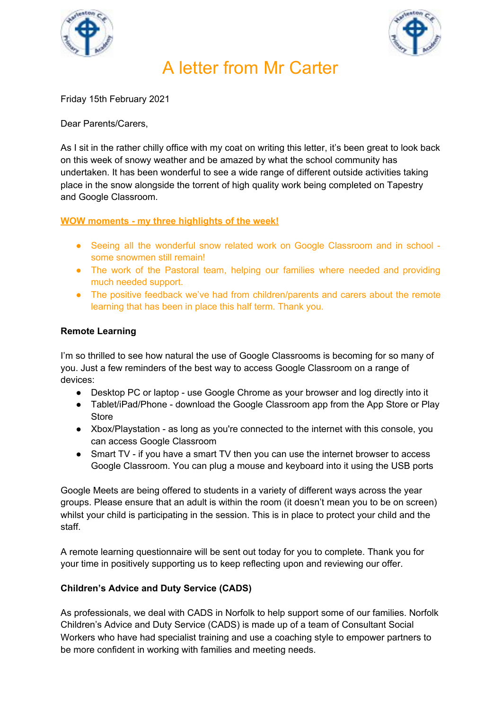



Friday 15th February 2021

Dear Parents/Carers,

As I sit in the rather chilly office with my coat on writing this letter, it's been great to look back on this week of snowy weather and be amazed by what the school community has undertaken. It has been wonderful to see a wide range of different outside activities taking place in the snow alongside the torrent of high quality work being completed on Tapestry and Google Classroom.

**WOW moments - my three highlights of the week!**

- Seeing all the wonderful snow related work on Google Classroom and in school some snowmen still remain!
- The work of the Pastoral team, helping our families where needed and providing much needed support.
- The positive feedback we've had from children/parents and carers about the remote learning that has been in place this half term. Thank you.

#### **Remote Learning**

I'm so thrilled to see how natural the use of Google Classrooms is becoming for so many of you. Just a few reminders of the best way to access Google Classroom on a range of devices:

- Desktop PC or laptop use Google Chrome as your browser and log directly into it
- Tablet/iPad/Phone download the Google Classroom app from the App Store or Play **Store**
- Xbox/Playstation as long as you're connected to the internet with this console, you can access Google Classroom
- Smart TV if you have a smart TV then you can use the internet browser to access Google Classroom. You can plug a mouse and keyboard into it using the USB ports

Google Meets are being offered to students in a variety of different ways across the year groups. Please ensure that an adult is within the room (it doesn't mean you to be on screen) whilst your child is participating in the session. This is in place to protect your child and the staff.

A remote learning questionnaire will be sent out today for you to complete. Thank you for your time in positively supporting us to keep reflecting upon and reviewing our offer.

### **Children's Advice and Duty Service (CADS)**

As professionals, we deal with CADS in Norfolk to help support some of our families. Norfolk Children's Advice and Duty Service (CADS) is made up of a team of Consultant Social Workers who have had specialist training and use a coaching style to empower partners to be more confident in working with families and meeting needs.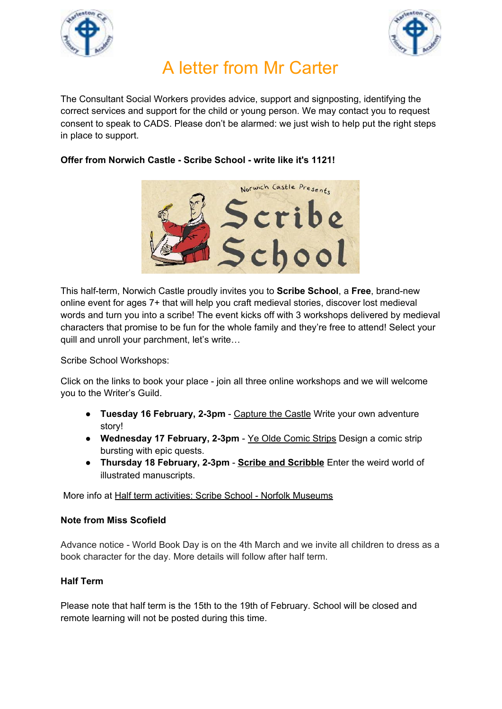



The Consultant Social Workers provides advice, support and signposting, identifying the correct services and support for the child or young person. We may contact you to request consent to speak to CADS. Please don't be alarmed: we just wish to help put the right steps in place to support.

### **Offer from Norwich Castle - Scribe School - write like it's 1121!**



This half-term, Norwich Castle proudly invites you to **Scribe School**, a **Free**, brand-new online event for ages 7+ that will help you craft medieval stories, discover lost medieval words and turn you into a scribe! The event kicks off with 3 workshops delivered by medieval characters that promise to be fun for the whole family and they're free to attend! Select your quill and unroll your parchment, let's write…

Scribe School Workshops:

Click on the links to book your place - join all three online workshops and we will welcome you to the Writer's Guild.

- **Tuesday 16 February, 2-3pm** [Capture](https://www.norfolk.gov.uk/sitecore%20modules/Web/EXM/RedirectUrlPage.aspx?ec_eq=4V5A7JmUchQG7ykahIiPdML0S6ZhabL4Ayi9PNleiAznpdwCd7Kvc2%2fAWaDfTtNQPP756O%2fo4lTa7qsNLYRwwnXm0HYsaGw%2flTS0EKt%2fNjP8IGXD1p4nZYVRNlCw%2frB7rNqlV2LlHj7s3H%2fmYQY9NIrcsHkp8D4NUiT6eYqGTF3yDaRQ5u9WTMBc0B8KEhSxOx9MqAF7rh3qUfABJRpBGGAKMkceQ83GPaW3hzsFP9SOrqW%2bmNxN%2bHS5LXqSPTlCWmRctp9BDSF%2bgS2gfkDZQJe7XeUzA9WLeStbyxRJecw6zCpkNtjvf0Sm3b0zcOnY4ay3%2f%2f6kM37LFUPlDYVowM%2bVgPu8l4GIYyjNNRHVaEzJ7sLFeqAi9ChzoTNyB%2f%2fwmK9ZPL0QeY8BfK3MZMg0N6quthtu2RR9mNiHiyG%2fr2wQR1ljf7%2baZ7HRZSEEmup19byWaH2QJv%2btcopEwvySGoE8ibQK31WjU1GlRqLO1Ev4OMB5Eikb9lwxr6EyargX2A%2bYPk9DDxL0og0t5fZ6G7iPMmWWaW8fsJEp3hVqKKiKECnwNSBTcoYb2HAoZ1w%2fiflUSjjGos9Pz3ErZBMdkXSLt7vj%2bn8%2bD7wfjV3MefkbCBTMzaPf6r%2bRwtvP71zMRr0yNUPasAK49yFtv1e3359KvfT5cthDikTU9fRi6QEaBjJs8GRzZi4tdgj%2bp56Qli%2bPj%2bXYoi0goqkmaJXRD3XWmOsgxHyKjVwS3%2fjx96MNbocAn12gF4OSDUs42mqiuGUJ512uiTQIDFEMdNweZXGcFPS7iJ9nDy9y3Wbg96fytkNQ9vpcssrQZqVNx5ZIzMlf3tR7OUTmkfBTjt%2bJQRqjl2ydbBIw2LqYxDzgHf0XTRZb92iTzbob2l%2bjL6xUaMDspshsp3dpqRLIYYE9J2zd%2ffrs2k8J105zsNmTiJep7yGcg4tlObV1m3DCq5tgw8QdJxZtF%2f7LumI4A%2fNzO7yT7oNd35eZu0%2boYhleKkwqlrmGAjx5QlT7IwWsDXle) the Castle Write your own adventure story!
- **Wednesday 17 February, 2-3pm** Ye Olde [Comic](https://www.norfolk.gov.uk/sitecore%20modules/Web/EXM/RedirectUrlPage.aspx?ec_eq=E2jgfKiF4C05pnji3o9PaG%2b0rI1OyXo3fQYACkPbaX0OIeaUSflJ3H7yvGRzTLMehkArHqHkvTaEwlKX8hhOEWidPc7wffwmmWx4MtZc1IPZODpk0n%2fayK3NiPKjVN9AwDJlYvd2N8kWDujJ45uxMHaa7Vmq7nNTBE0MvUi2HyUYMfnJa6mRRWJMRxgz4gaEW1Gqk8JDmjMHMA7pWPqEtXvg0oYq5pHFxs97BcJprLqozQ%2bNmWt0EUMIf3SKjafEaWtP7Scp%2bNIcRwzekAT7IYU8rLXGPyPe1RlfpVOr5eS6cpg2V1qK7j508wbzBd7gUUM8F%2buAkPt0C5%2bKBT%2bXosnzeIZ4FaAEle%2fwkK5XM5d47sZBlZ8dBpkYptFOvR7Sc2npDZT1UfvcPd4TZBwdHx5YK4AqC3OrHrEym76ZgraDvovPxvEgALLHhfBcfdWnSGOU4kATLNbNDigkDmqVVhee6dP6RA%2frxQb1JxTRfiaTBh5fPn%2bBizYzDsyKLAMAWfPMS3tUUale69RvZfTetHXD1KnblE6rEgB8IrI0j%2bFyS50G74LNlukIlqVODLv7AKeVTcd8G9ssEiTJFAxhbZSyKtGL1EGIMqa7rK32YN8xhrkPXwPSkGDVPRILoI%2fuNZH4ft2u9X%2fPSM7mN3MqIGVJ44GK1uvGneZq6%2fAuHg%2fX4dqb51JpG6Nb6Wcw5h9Bm52psaR2R15577H81ytwcjiZ%2ffqCycvhd1Rsk7EwazdHqwX4ytJrb4RLoiSel6kapOUZ6U1zN5mUTVO9dWvjNpr9TtjalWapNlzTsf1ZYn7uIFaCnmi5kUSW5b7sgH3B2e9v4YC9oagT09B%2f8bHJnLBUcIOomhwIPJmpBfMTMffb7ikv%2bxaIxaSNpPrr6BwQaSGtr%2fiUQjOf5E0jwwEQuGVANkzIZVHdpwruhapJxlWV5gTI8Ge6E6Gjb0ObrB1cH5RHCeMkbsS2OFPm6r37%2bXtKzbl9%2fvLEsW80pmYoUlo%3d) Strips Design a comic strip bursting with epic quests.
- **Thursday 18 February, 2-3pm Scribe and [Scribble](https://www.norfolk.gov.uk/sitecore%20modules/Web/EXM/RedirectUrlPage.aspx?ec_eq=OjnHqDrSaguR%2bSe1OwE1xXsZ8YUf8MjVGZ1WouJldHAMUbDMa14aqOF6CDuGSRh9Wi8xvcLolJUvs%2bMlOy81B0ruTmKB3ozf053HYy%2fIFHdQPnjI3HqNjTqzbzSYdqmM21wxaNxjsSvru%2bNIkaZmJlDcsMuTOwH9YE8McFCgZ9CaegNNYU9KAQ8CPOK3bDrPGmH8q3hIU8YdlGRtwWOMH2ezjxuac9fuYRta7XA6uqWxo%2fVE7BvxLrZ6uxB2RTVJw1cQTPnclPCpf%2fzlyeFe94jAgPwc9aZXIWzijP42mgZt5x7bTR0C4xS%2bpMYClBMjQ0hip9i7VFgpAgOLT6FBkIx%2fziUkWd%2bahZzatozC6bsIEV1HLZ4i%2bvTVPpUHqSZW9fd9%2fF0RU7XwZhALC3B2GS%2bw0Qj1TTmVnrzshFZGDXuillIt7YDis7O8%2ba9o3bMrD6JypxxJA5zYztXL5fpvHW%2fFW8tlsnzcfAXSiIs5tGbYwq4tLilTZhwN8tQ5ThkiMf8WmUNYQekrrwi2g2xm%2bu58g4%2f%2f7g3PRNLwuO4jsEWwexgr4ZWgSSfq3PqGXArFzhdPqir5hml1jIvMJLDIadDl04Xt7XI5H6xzU6zjZKz%2fux9O5QOE2b89tBB%2b1gN7H5nnNRBOCFiWVjsRSod3EMTs%2becqox8NbN7tv9FnS96hv6moFldZMMy08EOd4JBwh4JYx48cwpw9dOFMFzfouk6KKW3sfbQ0u%2b8iWnRevMiF4L9B4tgjehoGrx38UZ8%2fPlP6v75Zv7d3Lgvimh%2fPq%2brCd5H4bt1%2flnrfk%2bROU%2fXQsbFzrCGUtdC3ypeZ8Rtn7HA4BH9nqxYnWsb7pynDkRCSYo1QfwrsRm6sFNcNSDj%2bNddYbP%2b1Wnb0fwXAKSHVqmJ6xegr%2bmwmP4GTVboTYnV55gr1sdtF6ZEmDKO1eQxD0uO0E5oeX5DRz%2fNCxngeR8GN62Hmv33eAvu9dmHsBOeGyY4zOYJIsheLkIGbTEOvy9Aw%2bS01iZcI2SQIy8qm)** Enter the weird world of illustrated manuscripts.

More info at Half term activities: Scribe School - Norfolk [Museums](https://www.norfolk.gov.uk/sitecore%20modules/Web/EXM/RedirectUrlPage.aspx?ec_eq=9Eazd%2bGKalVf8rX5ML%2fZM58XWRw3ZHSaDtAKENMxGe2saqaBq7H4IBoOB62bosgnHmigExb8lQD0N0l%2fU7GoXxWsI8j9kyJZgEuBgWzzMPkQmNMTi0Rz6rf%2fb4AkisIup%2fWTcIFCAWESg1AllKvR0%2fHFzRxUZ%2fwolOLvDbY3FO4ej6H5zgedTH8tl1ZuhGAVeBO4GFeB0jcI3b1e30Cc83SnggPRjQlHFWLiK5ic7PczJ4fxP8cU3q7qnYSveQUV8oA8CO9ddxdnuQr24iH3I%2f5yg0FMfWVvgFMsQFLk%2fjUj7PlovgRL7iAveR57x3SRJzMONXBmJcjHKB523ibV3unEyxPXA5X6L%2fCtSuS2ndGFEpHAk%2ftuP08JnzXzcEhFlP73Pax%2bvqbmkEdazU%2bufA7Xr9WicCGenfkXYGhWlhJU%2fD3%2fDNyKtvnVpLlfU8H3Fg3JuaB6Sa069Yl8HiDmVIR7E6ZKC0jX0Vio7evhb2a1WK8DgQFdMXVZNL62P1oM7gpdZGMfpkRBhBBsUI7QbA8DA4G%2bz3wFZiM2aQSce%2fJ2WwxnYERR8DylHa7q6U%2bPXViIMuAxm7v1C8OSjIxsfPv9KE%2fXMkhCyJmTxcIDq3%2fYSUSNzNaMezGXO5ZZbIJHc73zYdTDqdh2P2xNCzqivrWxWrZBxB97yAP8QPSBbuoRB333l2kcFuO%2bzTdLHBPcZD2zAnxSwjTDqfZTctF5G0RSgaBUWYe%2b4fSW%2beFcKR%2fpsCWA%2fK%2fMdDgzPSTM6iWphL%2b1Q%2bHcJ11cgd9wwXc7r%2bmvUpUt1BOoV1g%2fwaEKQYiBn6FQc2NKS6p%2bQDbJE3Vu8muNmdXS5mZ3MhpKrL303y8Xcjcbc5hjfIF83uY%2blMNK6Z6a%2fKpjD%2bOAgydOK80Pigq8CileUzj3aCnEZ56YLrW091gMA5bgU5Y1hD6Bokx2FSnwXXwqzxPmjdyRCtp6%2fxm%2fzC8KFCv3TzXs2o0BiOXEu%2brCl67OnbHGTY6Jm4q7fohWBeBEUTB6MlWJfBP4)

#### **Note from Miss Scofield**

Advance notice - World Book Day is on the 4th March and we invite all children to dress as a book character for the day. More details will follow after half term.

#### **Half Term**

Please note that half term is the 15th to the 19th of February. School will be closed and remote learning will not be posted during this time.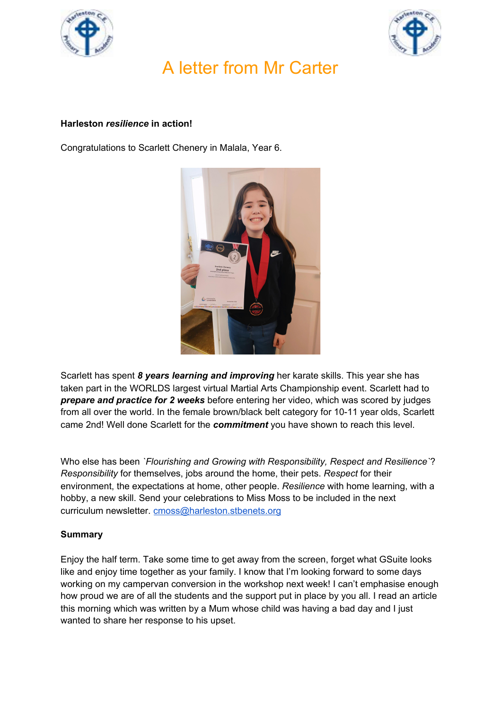



#### **Harleston** *resilience* **in action!**

Congratulations to Scarlett Chenery in Malala, Year 6.



Scarlett has spent *8 years learning and improving* her karate skills. This year she has taken part in the WORLDS largest virtual Martial Arts Championship event. Scarlett had to *prepare and practice for 2 weeks* before entering her video, which was scored by judges from all over the world. In the female brown/black belt category for 10-11 year olds, Scarlett came 2nd! Well done Scarlett for the *commitment* you have shown to reach this level.

Who else has been *`Flourishing and Growing with Responsibility, Respect and Resilience`*? *Responsibility* for themselves, jobs around the home, their pets. *Respect* for their environment, the expectations at home, other people. *Resilience* with home learning, with a hobby, a new skill. Send your celebrations to Miss Moss to be included in the next curriculum newsletter. [cmoss@harleston.stbenets.org](mailto:cmoss@harleston.stbenets.org)

#### **Summary**

Enjoy the half term. Take some time to get away from the screen, forget what GSuite looks like and enjoy time together as your family. I know that I'm looking forward to some days working on my campervan conversion in the workshop next week! I can't emphasise enough how proud we are of all the students and the support put in place by you all. I read an article this morning which was written by a Mum whose child was having a bad day and I just wanted to share her response to his upset.